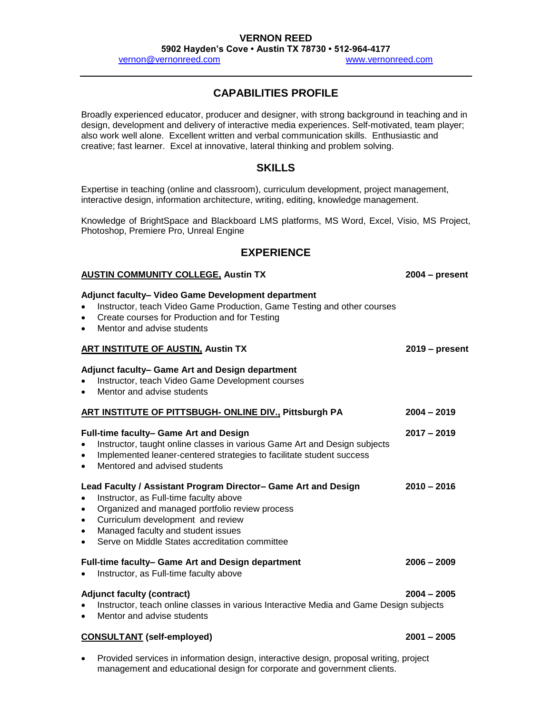### **VERNON REED**

**5902 Hayden's Cove • Austin TX 78730 • 512-964-4177**

[vernon@vernonreed.com](mailto:vernon@vernonreed.com) [www.vernonreed.com](http://www.vernonreed.com/)

# **CAPABILITIES PROFILE**

Broadly experienced educator, producer and designer, with strong background in teaching and in design, development and delivery of interactive media experiences. Self-motivated, team player; also work well alone. Excellent written and verbal communication skills. Enthusiastic and creative; fast learner. Excel at innovative, lateral thinking and problem solving.

## **SKILLS**

Expertise in teaching (online and classroom), curriculum development, project management, interactive design, information architecture, writing, editing, knowledge management.

Knowledge of BrightSpace and Blackboard LMS platforms, MS Word, Excel, Visio, MS Project, Photoshop, Premiere Pro, Unreal Engine

## **EXPERIENCE**

#### **AUSTIN COMMUNITY COLLEGE, Austin TX 2004 – present**

**Adjunct faculty– Video Game Development department**

- Instructor, teach Video Game Production, Game Testing and other courses
- Create courses for Production and for Testing
- Mentor and advise students

#### **ART INSTITUTE OF AUSTIN, Austin TX 2019 – present**

#### **Adjunct faculty– Game Art and Design department**

- Instructor, teach Video Game Development courses
- Mentor and advise students

#### **ART INSTITUTE OF PITTSBUGH- ONLINE DIV., Pittsburgh PA 2004 – 2019**

- **Full-time faculty– Game Art and Design 2017 – 2019** • Instructor, taught online classes in various Game Art and Design subjects Implemented leaner-centered strategies to facilitate student success
	- Mentored and advised students

### **Lead Faculty / Assistant Program Director– Game Art and Design 2010 – 2016**

- Instructor, as Full-time faculty above
- Organized and managed portfolio review process
- Curriculum development and review
- Managed faculty and student issues
- Serve on Middle States accreditation committee

## **Full-time faculty– Game Art and Design department 2006 – 2009**

• Instructor, as Full-time faculty above

## **Adjunct faculty (contract) 2004 – 2005**

- Instructor, teach online classes in various Interactive Media and Game Design subjects
- Mentor and advise students

## **CONSULTANT (self-employed) 2001 – 2005**

 Provided services in information design, interactive design, proposal writing, project management and educational design for corporate and government clients.